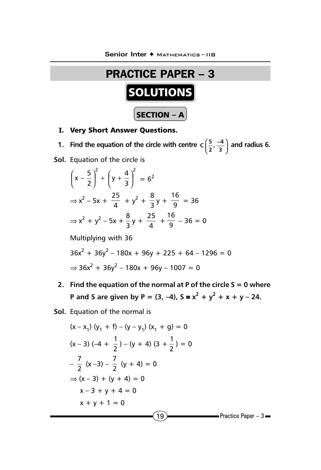

**I.** Very Short Answer Questions.

**1.** Find the equation of the circle with centre  $c\left(\frac{5}{2}, \frac{-4}{3}\right)$  and radius 6.

**Sol.** Equation of the circle is

2  $(1)^2$ 3  $x - \frac{5}{2}$  +  $\left(y + \frac{4}{3}\right)$  $\overline{1}$  $\left(y+\frac{4}{5}\right)$ l  $\int_{-}^{x} + \int y +$  $\big)$  $\left(x-\frac{5}{2}\right)$  $\left(x-\frac{5}{2}\right)^{2}+\left(y+\frac{4}{3}\right)^{2}=6^{2}$  $\Rightarrow$  x<sup>2</sup> - 5x +  $\frac{25}{4}$  + y<sup>2</sup> +  $\frac{8}{3}$ y +  $\frac{16}{9}$  = 36  $\Rightarrow$  x<sup>2</sup> + y<sup>2</sup> - 5x +  $\frac{8}{3}$ y +  $\frac{25}{4}$  +  $\frac{16}{9}$  - 36 = 0

Multiplying with 36

$$
36x2 + 36y2 - 180x + 96y + 225 + 64 - 1296 = 0
$$
  
\n
$$
\Rightarrow 36x2 + 36y2 - 180x + 96y - 1007 = 0
$$

- **2. Find the equation of the normal at P of the circle S = 0 where P** and S are given by P =  $(3, -4)$ , S =  $x^2 + y^2 + x + y - 24$ .
- **Sol.** Equation of the normal is

$$
(x - x1) (y1 + f) – (y – y1) (x1 + g) = 0
$$
  
\n
$$
(x - 3) (-4 + \frac{1}{2}) – (y + 4) (3 + \frac{1}{2}) = 0
$$
  
\n
$$
-\frac{7}{2} (x - 3) - \frac{7}{2} (y + 4) = 0
$$
  
\n
$$
\Rightarrow (x - 3) + (y + 4) = 0
$$
  
\n
$$
x - 3 + y + 4 = 0
$$
  
\n
$$
x + y + 1 = 0
$$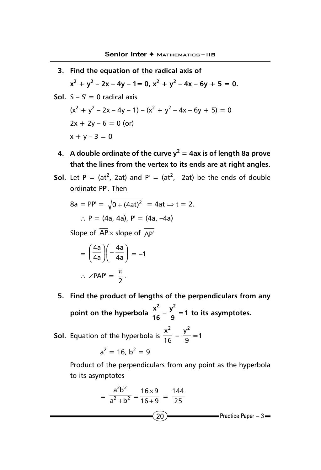- **3. Find the equation of the radical axis of**  $x^2 + y^2 - 2x - 4y - 1 = 0$ ,  $x^2 + y^2 - 4x - 6y + 5 = 0$ .
- **Sol.**  $S S' = 0$  radical axis  $(x^{2} + y^{2} - 2x - 4y - 1) - (x^{2} + y^{2} - 4x - 6y + 5) = 0$  $2x + 2y - 6 = 0$  (or)  $x + y - 3 = 0$ 
	- **4. A double ordinate of the curve y<sup>2</sup> = 4ax is of length 8a prove that the lines from the vertex to its ends are at right angles.**
- **Sol.** Let  $P = (at^2, 2at)$  and  $P' = (at^2, -2at)$  be the ends of double ordinate PP'. Then

8a = PP' = 
$$
\sqrt{0 + (4at)^2}
$$
 = 4at ⇒ t = 2.  
∴ P = (4a, 4a), P' = (4a, -4a)

Slope of  $\overline{AP}$  × slope of  $\overline{AP'}$ 

$$
= \left(\frac{4a}{4a}\right)\left(-\frac{4a}{4a}\right) = -1
$$

$$
\therefore \angle PAP' = \frac{\pi}{2}.
$$

**5. Find the product of lengths of the perpendiculars from any** point on the hyperbola  $\frac{x^2}{16} - \frac{y^2}{9} = 1$  to its asymptotes.

**Sol.** Equation of the hyperbola is  $\frac{1}{16}$  $x^2$  $-\frac{7}{9}$  $\frac{y^2}{2} = 1$ 

$$
a^2 = 16, b^2 = 9
$$

Product of the perpendiculars from any point as the hyperbola to its asymptotes

$$
= \frac{a^2b^2}{a^2 + b^2} = \frac{16 \times 9}{16 + 9} = \frac{144}{25}
$$
  
(20) Practice Paper - 3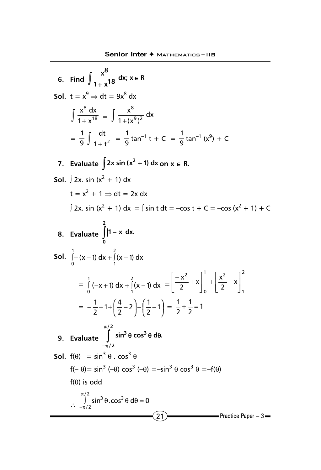$(21)$  Practice Paper – 3 **6.** Find  $\int \frac{x^8}{1+x^{18}} dx$ ;  $x \in R$  $\int \frac{x}{1+x^{18}} dx; x \in$ **Sol.**  $t = x^9 \Rightarrow dt = 9x^8 dx$  $\int \frac{x^8 dx}{1+x^{18}}$  $rac{x^{8} dx}{1 + x^{18}} = \int \frac{x^{8}}{1 + (x^{9})^{2}} dx$  $1 + (x^9)$ x  $9<sub>1</sub>2$ 8  $=\frac{1}{9}\int \frac{dt}{1+t^2} = \frac{1}{9} \tan^{-1} t + C = \frac{1}{9} \tan^{-1} (x^9) + C$ **7.** Evaluate  $\int 2x \sin(x^2 + 1) dx$  on  $x \in R$ . **Sol.** ∫ 2x. sin ( $x^2 + 1$ ) dx  $t = x^2 + 1 \Rightarrow dt = 2x dx$ ∫ 2x. sin (x<sup>2</sup> + 1) dx = ∫ sin t dt = -cos t + C = -cos (x<sup>2</sup> + 1) + C **8. Evaluate 2 0 )** |1 − x| dx. **Sol.**  $\int_{-}^{1} (x-1) dx + \int_{0}^{2} (x-1) dx$ 1 1 J – (x – 1) dx + J (x –<br><sup>0</sup>  $=\int_{0}^{1} (-x + 1) dx + \int_{0}^{2} (x - 1) dx =$ 1 0 2 1 <sup>1</sup>  $\lceil x^2 \rceil$ 0 2  $\frac{1}{2} - x$  $\left|\frac{x^2}{2}+x\right|_0 + \left|\frac{x}{2}\right|$ x  $\overline{\phantom{a}}$  $\overline{\phantom{a}}$  $\overline{\phantom{a}}$  $\overline{\phantom{a}}$ L L  $\overline{L}$ L  $\int_0^1 + \left( \frac{x}{2} - \right)$ J  $\overline{\phantom{a}}$ L L  $\overline{L}$  $-\frac{x^2}{2}$ +  $= -\frac{1}{2} + 1 + \frac{1}{2} - 2 - \frac{1}{2} - 1$  $\overline{1}$  $\left(\frac{1}{2}-1\right)$  $\left(\frac{4}{2}-2\right)-\left(\frac{1}{2}$ l  $-\frac{1}{2}+1+\left(\frac{4}{2}-2\right)-\left(\frac{1}{2}-1\right)=\frac{1}{2}+\frac{1}{2}=1$ 1 2  $\frac{1}{2} + \frac{1}{2} =$ **9. Evaluate / 2**  $3a$  cos<sup>3</sup> **/ 2 sin<sup>3</sup> θ cos<sup>3</sup> θ dθ.** π  $\int \limits_{-\pi/2} \sin^3 \theta \cos^3 \theta \ d\theta$ **Sol.**  $f(\theta) = \sin^3 \theta$ ,  $\cos^3 \theta$  $f(-\theta) = \sin^3(-\theta) \cos^3(-\theta) = -\sin^3 \theta \cos^3 \theta = -f(\theta)$ f(θ) is odd  $\int_{-\pi/2}^{\pi/2} sin^3 θ \cdot cos^3 θ dθ = 0$  $\int$  sin<sup>3</sup> θ.cos<sup>3</sup> θ dθ =<br><sub>ι/2</sub> π −π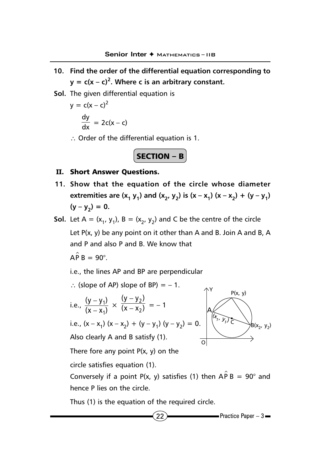- **10. Find the order of the differential equation corresponding to**  $y = c(x - c)^2$ . Where c is an arbitrary constant.
- **Sol.** The given differential equation is

$$
y = c(x - c)^{2}
$$

$$
\frac{dy}{dx} = 2c(x - c)
$$

∴ Order of the differential equation is 1.



## **II.** Short Answer Questions.

- **11. Show that the equation of the circle whose diameter** extremities are  $(x_1 y_1)$  and  $(x_2, y_2)$  is  $(x - x_1) (x - x_2) + (y - y_1)$  $(y - y_2) = 0.$
- **Sol.** Let A =  $(x_1, y_1)$ , B =  $(x_2, y_2)$  and C be the centre of the circle Let P(x, y) be any point on it other than A and B. Join A and B, A and P and also P and B. We know that

$$
\hat{AP}B = 90^\circ.
$$

i.e., the lines AP and BP are perpendicular

$$
\therefore \text{ (slope of AP) slope of BP)} = -1.
$$
\n
$$
\text{i.e., } \frac{(y - y_1)}{(x - x_1)} \times \frac{(y - y_2)}{(x - x_2)} = -1
$$
\n
$$
\text{i.e., } (x - x_1) (x - x_2) + (y - y_1) (y - y_2) = 0.
$$
\nAlso clearly A and B satisfy (1).  
\nThere for any point P(x, y) on the circle satisfies equation (1).  
\nConversely if a point P(x, y) satisfies (1) then  $\triangle$  B B = 90° and

Conversely if a point P(x, y) satisfies (1) then  $\hat{APB} = 90^\circ$  and hence P lies on the circle.

Thus (1) is the equation of the required circle.

$$
\mathbf{22}
$$

**22 Practice Paper – 3**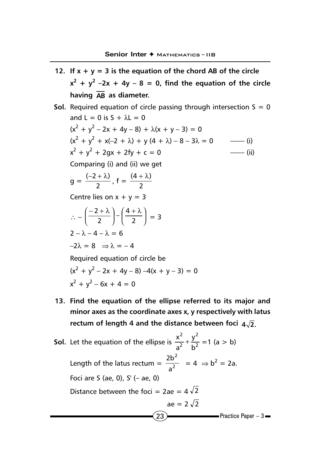- **12.** If  $x + y = 3$  is the equation of the chord AB of the circle  $x^2 + y^2 - 2x + 4y - 8 = 0$ , find the equation of the circle **having AB as diameter.**
- **Sol.** Required equation of circle passing through intersection  $S = 0$ and  $L = 0$  is  $S + \lambda L = 0$  $(x^{2} + y^{2} - 2x + 4y - 8) + \lambda(x + y - 3) = 0$  $(x^{2} + y^{2} + x(-2 + \lambda) + y(4 + \lambda) - 8 - 3\lambda = 0$  ----- (i)  $x^2 + y^2 + 2gx + 2fy + c = 0$  (ii) Comparing (i) and (ii) we get  $g = \frac{(-2 + \lambda)}{2}$ ,  $f = \frac{(4 + \lambda)}{2}$ Centre lies on  $x + y = 3$  $\therefore -\left(\frac{-\frac{1}{2}}{2}\right) - \left(\frac{1}{2}\right)$  $\left(\frac{4+\lambda}{2}\right)$ l  $-\left(\frac{4+\lambda}{2}\right)$  $\overline{1}$  $\left(\frac{-2+\lambda}{2}\right)$ l − + λ 2 4 2 2  $= 3$  $2 - \lambda - 4 - \lambda = 6$  $-2\lambda = 8 \Rightarrow \lambda = -4$ Required equation of circle be  $(x^{2} + y^{2} - 2x + 4y - 8) - 4(x + y - 3) = 0$  $x^2 + y^2 - 6x + 4 = 0$
- **13. Find the equation of the ellipse referred to its major and minor axes as the coordinate axes x, y respectively with latus** rectum of length 4 and the distance between foci  $4\sqrt{2}$ .

 $\left( 23 \right)$  Practice Paper – 3 **Sol.** Let the equation of the ellipse is  $\frac{1}{2^2} + \frac{1}{5^2}$ 2 2 2 b y a  $\frac{x^2}{2} + \frac{y^2}{12} = 1$  (a > b) Length of the latus rectum =  $\frac{1}{2^2}$ 2 a  $\frac{2b^2}{2} = 4 \Rightarrow b^2 = 2a.$ Foci are S (ae, 0), S' (– ae, 0) Distance between the foci =  $2ae = 4\sqrt{2}$ ae =  $2\sqrt{2}$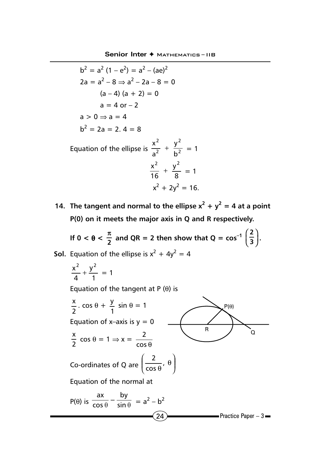$$
b2 = a2 (1 - e2) = a2 - (ae)2
$$
  
\n2a = a<sup>2</sup> - 8  $\Rightarrow$  a<sup>2</sup> - 2a - 8 = 0  
\n(a - 4) (a + 2) = 0  
\na = 4 or - 2  
\na > 0  $\Rightarrow$  a = 4  
\nb<sup>2</sup> = 2a = 2. 4 = 8  
\nb<sup>2</sup> = 2a = 2. 4 = 8

Equation of the ellipse is  $\frac{1}{2^2} + \frac{1}{2^2}$ 2 b y a  $\frac{x^2}{2} + \frac{y^2}{12} = 1$  $rac{x^2}{16} + \frac{y^2}{8}$ 16  $\frac{x^2}{16} + \frac{y^2}{8} = 1$  $x^2 + 2y^2 = 16$ .

**14.** The tangent and normal to the ellipse  $x^2 + y^2 = 4$  at a point **P(0) on it meets the major axis in Q and R respectively.**

**If**  $0 < \theta < \frac{\pi}{2}$  and QR = 2 then show that Q =  $\cos^{-1}\left(\frac{2}{3}\right)$ .

**Sol.** Equation of the ellipse is  $x^2 + 4y^2 = 4$ 

$$
\frac{x^2}{4} + \frac{y^2}{1} = 1
$$

Equation of the tangent at  $P(θ)$  is

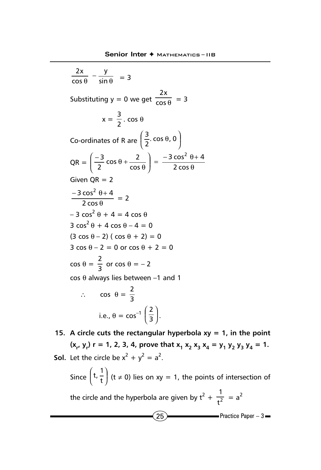$\frac{y}{\theta}$  –  $\frac{y}{\sin \theta}$ cos 2x  $= 3$ Substituting y = 0 we get  $\frac{1}{\cos \theta}$ 2x  $= 3$  $x = \frac{3}{2}$ . cos  $\theta$ Co-ordinates of R are  $\left(\frac{2}{2}, \cos \theta, 0\right)$  $\left(\frac{3}{2} \cdot \cos \theta, 0\right)$ l  $\left(\frac{3}{2}, \cos \theta, 0\right)$ 3  $QR = \left(\frac{-3}{2}\cos\theta + \frac{2}{\cos\theta}\right) = \frac{-3\cos^2\theta + 2}{2\cos\theta}$  $\overline{1}$  $\lambda$ I l ſ  $\left(\frac{-3}{2}\cos\theta+\frac{2}{\cos\theta}\right)=\frac{-3\cos^2\theta}{2\cos\theta}$  $3 \cos^2 \theta + 4$ cos  $\frac{-3}{2}$  cos  $\theta + \frac{2}{\cos \theta}$  $3 \text{ cm}^2$  2  $-3 \cos^2$ Given  $OR = 2$ θ  $-3 \cos^2 \theta +$ 2 cos  $\frac{3\cos^2\theta + 4}{2} = 2$  $-3 \cos^2 \theta + 4 = 4 \cos \theta$ 3  $\cos^2 \theta + 4 \cos \theta - 4 = 0$ (3 cos  $\theta$  – 2) ( cos  $\theta$  + 2) = 0  $3 \cos \theta - 2 = 0$  or  $\cos \theta + 2 = 0$  $\cos \theta = \frac{2}{3}$  or  $\cos \theta = -2$ cos θ always lies between –1 and 1 ∴ cos  $\theta = \frac{2}{3}$ i.e.,  $\theta = \cos^{-1} \left( \frac{2}{3} \right)$  $\left(\frac{2}{5}\right)$ l ſ  $\frac{2}{3}$ .

**15. A circle cuts the rectangular hyperbola xy = 1, in the point**  $(x_r, y_r)$  **r** = 1, 2, 3, 4, prove that  $x_1 x_2 x_3 x_4 = y_1 y_2 y_3 y_4 = 1$ . **Sol.** Let the circle be  $x^2 + y^2 = a^2$ .

 $(25)$  Practice Paper – 3 Since  $\left(\frac{\mathsf{t}}{\mathsf{t}}\right)$  $(t, \frac{1}{t})$ l ſ  $\left( t, \frac{1}{t} \right)$  (t  $\neq$  0) lies on xy = 1, the points of intersection of the circle and the hyperbola are given by  $t^2 + \frac{1}{t^2}$  $\frac{1}{2}$  = a<sup>2</sup>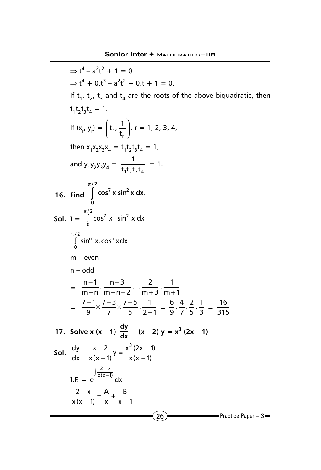⇒ t<sup>4</sup> - a<sup>2</sup>t<sup>2</sup> + 1 = 0  
\n⇒ t<sup>4</sup> + 0. t<sup>3</sup> - a<sup>2</sup>t<sup>2</sup> + 0. t + 1 = 0.  
\nIf t<sub>1</sub>, t<sub>2</sub>, t<sub>3</sub> and t<sub>4</sub> are the roots of the above biquadratic, then  
\nt<sub>1</sub>t<sub>2</sub>t<sub>3</sub>t<sub>4</sub> = 1.  
\nIf (x<sub>r</sub>, y<sub>r</sub>) = (t<sub>r</sub>, 
$$
\frac{1}{t_r}
$$
)<sub>r</sub> = 1, 2, 3, 4,  
\nthen x<sub>1</sub>x<sub>2</sub>x<sub>3</sub>x<sub>3</sub>x = t<sub>1</sub>t<sub>2</sub>t<sub>3</sub>t<sub>4</sub> = 1,  
\nand y<sub>1</sub>y<sub>2</sub>y<sub>3</sub>y<sub>4</sub> =  $\frac{1}{t_1t_2t_3t_4}$  = 1.  
\n16. Find  $\int_{0}^{\pi/2}$  cos<sup>7</sup> x sin<sup>2</sup> x dx.  
\nSoI. I =  $\int_{0}^{\pi/2}$  cos<sup>7</sup> x sin<sup>2</sup> x dx  
\n $\frac{1}{2}$   
\n $\int_{0}^{\pi/2}$  sin<sup>m</sup> x. cos<sup>n</sup> x dx  
\nm - even  
\nn - odd  
\n $= \frac{n-1}{m+n} \cdot \frac{n-3}{m+n-2} \cdot \frac{2}{m+3} \cdot \frac{1}{m+1}$   
\n $= \frac{7-1}{9} \times \frac{7-3}{7} \times \frac{7-5}{5} \cdot \frac{1}{2+1} = \frac{6}{9} \cdot \frac{4}{7} \cdot \frac{2}{5} \cdot \frac{1}{3} = \frac{16}{315}$   
\n17. Solve x (x - 1)  $\frac{dy}{dx}$  - (x - 2) y = x<sup>3</sup> (2x - 1)  
\nSoI.  $\frac{dy}{dx} - \frac{x-2}{x(x-1)}y = \frac{x^3(2x-1)}{x(x-1)}$   
\nI.F. = e  $\int \frac{2-x}{x(x-1)}$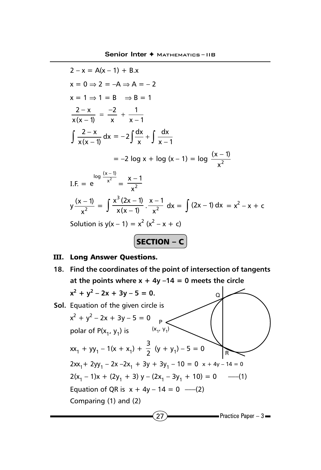$$
2 - x = A(x - 1) + B.x
$$
  
\n
$$
x = 0 \Rightarrow 2 = -A \Rightarrow A = -2
$$
  
\n
$$
x = 1 \Rightarrow 1 = B \Rightarrow B = 1
$$
  
\n
$$
\frac{2 - x}{x(x - 1)} = \frac{-2}{x} + \frac{1}{x - 1}
$$
  
\n
$$
\int \frac{2 - x}{x(x - 1)} dx = -2 \int \frac{dx}{x} + \int \frac{dx}{x - 1}
$$
  
\n
$$
= -2 \log x + \log (x - 1) = \log \frac{(x - 1)}{x^2}
$$
  
\nI.F. =  $e^{\log \frac{(x - 1)}{x^2}} = \frac{x - 1}{x^2}$   
\n
$$
y \frac{(x - 1)}{x^2} = \int \frac{x^3 (2x - 1)}{x(x - 1)} \cdot \frac{x - 1}{x^2} dx = \int (2x - 1) dx = x^2 - x + c
$$
  
\nSolution is  $y(x - 1) = x^2 (x^2 - x + c)$   
\n**SECTION - C**

## **III.** Long Answer Questions.

**18. Find the coordinates of the point of intersection of tangents** at the points where  $x + 4y -14 = 0$  meets the circle

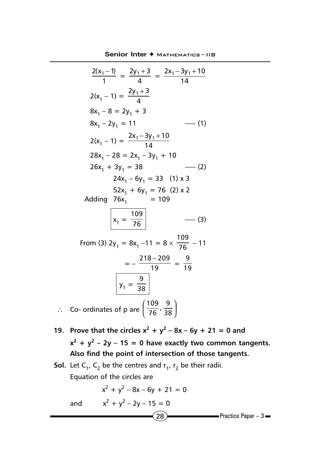**Senior Inter ♦ МАТНЕМАТICS-IIB** 

$$
\frac{2(x_1 - 1)}{1} = \frac{2y_1 + 3}{4} = \frac{2x_1 - 3y_1 + 10}{14}
$$
  
\n
$$
2(x_1 - 1) = \frac{2y_1 + 3}{4}
$$
  
\n
$$
8x_1 - 8 = 2y_1 + 3
$$
  
\n
$$
8x_1 - 2y_1 = 11
$$
 (1)  
\n
$$
2(x_1 - 1) = \frac{2x_1 - 3y_1 + 10}{14}
$$
  
\n
$$
28x_1 - 28 = 2x_1 - 3y_1 + 10
$$
  
\n
$$
26x_1 + 3y_1 = 38
$$
 (2)  
\n
$$
24x_1 - 6y_1 = 33
$$
 (1) x 3  
\n
$$
52x_1 + 6y_1 = 76
$$
 (2) x 2  
\nAdding 76x<sub>1</sub> = 109

$$
x_1 = \frac{109}{76} \qquad \qquad (3)
$$

From (3) 2y<sub>1</sub> = 8x<sub>1</sub> –11 = 8  $\times \frac{109}{76}$  – 11  $=-\frac{218-209}{19}=\frac{9}{19}$  $y_1 = \frac{9}{38}$ ∴ Co- ordinates of p are  $\left(\frac{125}{76}, \frac{3}{38}\right)$  $\left(\frac{109}{75},\frac{9}{28}\right)$ l ſ  $\frac{109}{76}, \frac{9}{38}$ 

- **19. Prove that the circles**  $x^2 + y^2 8x 6y + 21 = 0$  **and**  $x^2 + y^2 - 2y - 15 = 0$  have exactly two common tangents. **Also find the point of intersection of those tangents.**
- **Sol.** Let  $C_1$ ,  $C_2$  be the centres and  $r_1$ ,  $r_2$  be their radii. Equation of the circles are

$$
x^{2} + y^{2} - 8x - 6y + 21 = 0
$$
  
and 
$$
x^{2} + y^{2} - 2y - 15 = 0
$$
28  
Practice Paper - 3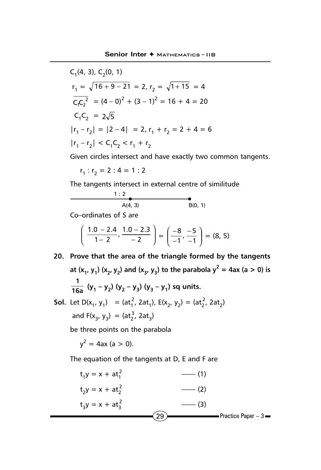C<sub>1</sub>(4, 3), C<sub>2</sub>(0, 1)  
\n
$$
r_1 = \sqrt{16 + 9 - 21} = 2, r_2 = \sqrt{1 + 15} = 4
$$
\n
$$
\overline{C_1C_2}^2 = (4 - 0)^2 + (3 - 1)^2 = 16 + 4 = 20
$$
\n
$$
C_1C_2 = 2\sqrt{5}
$$
\n
$$
|r_1 - r_2| = |2 - 4| = 2, r_1 + r_2 = 2 + 4 = 6
$$
\n
$$
|r_1 - r_2| < C_1C_2 < r_1 + r_2
$$

Given circles intersect and have exactly two common tangents.

$$
r_1 : r_2 = 2 : 4 = 1 : 2
$$

The tangents intersect in external centre of similitude

$$
\begin{array}{c}\n1:2 \\
\bullet \\
\hline\nA(4,3)\n\end{array}
$$

Co–ordinates of S are

$$
\left(\frac{1.0-2.4}{1-2},\frac{1.0-2.3}{-2}\right)=\left(\frac{-8}{-1},\frac{-5}{-1}\right)=(8,5)
$$

- **20. Prove that the area of the triangle formed by the tangents** at  $(x_1, y_1)$   $(x_2, y_2)$  and  $(x_3, y_3)$  to the parabola  $y^2 = 4ax$  (a  $> 0$ ) is  $\frac{1}{16a}$  (y<sub>1</sub> – y<sub>2</sub>) (y<sub>2</sub> – y<sub>3</sub>) (y<sub>3</sub> – y<sub>1</sub>) sq units.
- **Sol.** Let  $D(x_1, y_1) = (at_1^2, 2at_1)$ ,  $E(x_2, y_2) = (at_2^2, 2at_2)$ and  $F(x_3, y_3) = (at_2^3, 2at_3)$

be three points on the parabola

 $y^2 = 4ax$  (a > 0).

The equation of the tangents at D, E and F are

$$
t_1y = x + at_1^2
$$
 (1)  
\n
$$
t_2y = x + at_2^2
$$
 (2)  
\n
$$
t_3y = x + at_3^2
$$
 (3)  
\n
$$
29
$$
Practice Paper - 3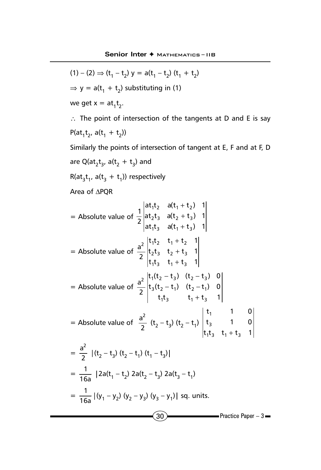$(1) - (2) \Rightarrow (t_1 - t_2) y = a(t_1 - t_2) (t_1 + t_2)$ 

 $\sim$  30  $\sim$  Practice Paper – 3  $\Rightarrow$  y = a(t<sub>1</sub> + t<sub>2</sub>) substituting in (1) we get  $x = at_1t_2$ . ∴ The point of intersection of the tangents at D and E is say P(at<sub>1</sub>t<sub>2</sub>, a(t<sub>1</sub> + t<sub>2</sub>)) Similarly the points of intersection of tangent at E, F and at F, D are Q(at $_2$ t $_3$ , a(t $_2$  + t $_3$ ) and  $R(at_3t_1, a(t_3 + t_1))$  respectively Area of ∆PQR = Absolute value of  $at_1t_3$  a( $t_1 + t_3$ ) 1  $at_2t_3$  a( $t_2 + t_3$ ) 1  $at_1t_2$  a( $t_1 + t_2$ ) 1 2 1 1 <sup>1</sup> 3 a 1 1 3  $2$   $3$  all  $2$   $\pm$   $13$ 1 2  $a_1$   $a_1$   $a_2$ + + + = Absolute value of  $t_1 t_3$   $t_1 + t_3$  1  $t_2 t_3$   $t_2 + t_3$  1  $t_1 t_2$   $t_1 + t_2$  1 2 a  $1$   $1$   $3$   $1$   $1$   $1$   $1$   $1$   $3$ 2**'**3 <sup>1</sup>2 <sup>−</sup> 13  $2^{112}$   $1^{+12}$ + + + = Absolute value of  $t_1 t_3$   $t_1 + t_3$  1  $t_3(t_2 - t_1)$   $(t_2 - t_1)$  0  $t_1(t_2 - t_3)$   $(t_2 - t_3)$  0 2 a  $1^{13}$   $1^{1}$   $1^{1}$   $1^{3}$  $3(2 - 1)$   $(12 - 1)$  $2^{1112} - 13$ ,  $12 - 13$ +  $- t_1$ ) ( $t_2 - t_3$ ) ( $t_2 -$ = Absolute value of  $\frac{a}{2}$  $a<sup>2</sup>$  $(t_2 - t_3)$   $(t_2 - t_1)$  $t_1 t_3$   $t_1 + t_3$  1  $t_3$  1 0 t<sub>1</sub> 1 0 143 41 <del>1</del>43 3 1 +  $= \frac{9}{2}$  $a<sup>2</sup>$  $|(t_2 - t_3) (t_2 - t_1) (t_1 - t_3)|$  $=\frac{1}{16a}$  |2a(t<sub>1</sub> – t<sub>2</sub>) 2a(t<sub>2</sub> – t<sub>3</sub>) 2a(t<sub>3</sub> – t<sub>1</sub>)  $=\frac{1}{16a} |(y_1 - y_2)(y_2 - y_3)(y_3 - y_1)|$  sq. units.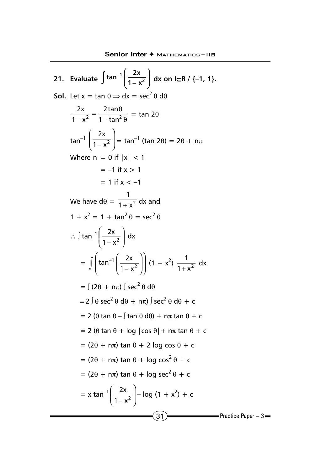21. Evaluate 
$$
\int \tan^{-1} \left( \frac{2x}{1 - x^2} \right) dx
$$
 on  $lCR / \{-1, 1\}$ .  
\nSoI. Let  $x = \tan \theta \Rightarrow dx = \sec^2 \theta d\theta$   
\n $\frac{2x}{1 - x^2} = \frac{2 \tan \theta}{1 - \tan^2 \theta} = \tan 2\theta$   
\n $\tan^{-1} \left( \frac{2x}{1 - x^2} \right) = \tan^{-1} (\tan 2\theta) = 2\theta + n\pi$   
\nWhere  $n = 0$  if  $|x| < 1$   
\n $= -1$  if  $x > 1$   
\n $= 1$  if  $x < -1$   
\nWe have  $d\theta = \frac{1}{1 + x^2} dx$  and  
\n $1 + x^2 = 1 + \tan^2 \theta = \sec^2 \theta$   
\n $\therefore \int \tan^{-1} \left( \frac{2x}{1 - x^2} \right) dx$   
\n $= \int (\tan^{-1} \left( \frac{2x}{1 - x^2} \right) \int (1 + x^2) \frac{1}{1 + x^2} dx$   
\n $= \int (2\theta + n\pi) \int \sec^2 \theta d\theta$   
\n $= 2 \int \theta \sec^2 \theta d\theta + n\pi \int \sec^2 \theta d\theta + c$   
\n $= 2 (\theta \tan \theta - \int \tan \theta d\theta) + n\pi \tan \theta + c$   
\n $= 2 (\theta \tan \theta + \log |\cos \theta| + n\pi \tan \theta + c$   
\n $= (2\theta + n\pi) \tan \theta + 2 \log \cos \theta + c$   
\n $= (2\theta + n\pi) \tan \theta + \log \sec^2 \theta + c$   
\n $= (2\theta + n\pi) \tan \theta + \log \sec^2 \theta + c$   
\n $= (2\theta + n\pi) \tan \theta + \log \sec^2 \theta + c$   
\n $= x \tan^{-1} \left( \frac{2x}{1 - x^2} \right) - \log (1 + x^2) + c$ 

 $\blacksquare$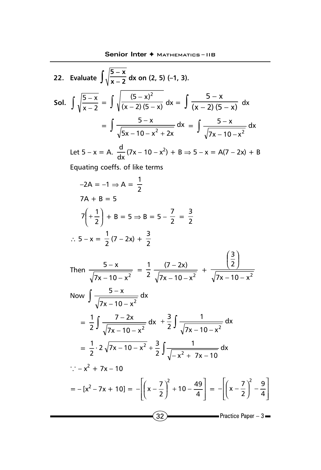22. Evaluate 
$$
\int \sqrt{\frac{5-x}{x-2}} dx
$$
 on (2, 5) (-1, 3).  
\nSoI.  $\int \sqrt{\frac{5-x}{x-2}} = \int \sqrt{\frac{(5-x)^2}{(x-2)(5-x)}} dx = \int \frac{5-x}{(x-2)(5-x)} dx$   
\n $= \int \frac{5-x}{\sqrt{5x-10-x^2+2x}} dx = \int \frac{5-x}{\sqrt{7x-10-x^2}} dx$ 

Let  $5 - x = A$ .  $\frac{d}{dx}(7x - 10 - x^2) + B \Rightarrow 5 - x = A(7 - 2x) + B$ 

Equating coeffs. of like terms

$$
-2A = -1 \Rightarrow A = \frac{1}{2}
$$
  
\n
$$
7A + B = 5
$$
  
\n
$$
7\left(+\frac{1}{2}\right) + B = 5 \Rightarrow B = 5 - \frac{7}{2} = \frac{3}{2}
$$
  
\n
$$
\therefore 5 - x = \frac{1}{2}(7 - 2x) + \frac{3}{2}
$$
  
\nThen 
$$
\frac{5 - x}{\sqrt{7x - 10 - x^2}} = \frac{1}{2} \frac{(7 - 2x)}{\sqrt{7x - 10 - x^2}} + \frac{\left(\frac{3}{2}\right)}{\sqrt{7x - 10 - x^2}}
$$
  
\nNow 
$$
\int \frac{5 - x}{\sqrt{7x - 10 - x^2}} dx
$$
  
\n
$$
= \frac{1}{2} \int \frac{7 - 2x}{\sqrt{7x - 10 - x^2}} dx + \frac{3}{2} \int \frac{1}{\sqrt{7x - 10 - x^2}} dx
$$
  
\n
$$
= \frac{1}{2} \cdot 2\sqrt{7x - 10 - x^2} + \frac{3}{2} \int \frac{1}{\sqrt{-x^2 + 7x - 10}} dx
$$
  
\n
$$
\therefore -x^2 + 7x - 10
$$
  
\n
$$
= -[x^2 - 7x + 10] = -\left[\left(x - \frac{7}{2}\right)^2 + 10 - \frac{49}{4}\right] = -\left[\left(x - \frac{7}{2}\right)^2 - \frac{9}{4}\right]
$$
  
\nPractice Paper - 3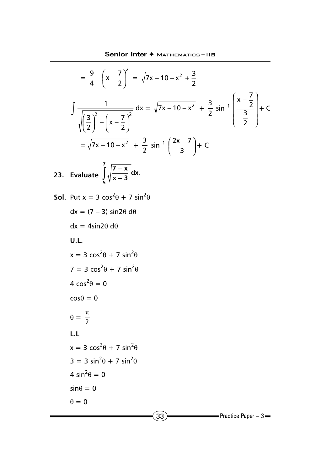$$
= \frac{9}{4} - \left(x - \frac{7}{2}\right)^2 = \sqrt{7x - 10 - x^2} + \frac{3}{2}
$$
  
\n
$$
\int \frac{1}{\sqrt{\left(\frac{3}{2}\right)^2 - \left(x - \frac{7}{2}\right)^2}} dx = \sqrt{7x - 10 - x^2} + \frac{3}{2} \sin^{-1}\left(\frac{x - \frac{7}{2}}{\frac{3}{2}}\right) + C
$$
  
\n
$$
= \sqrt{7x - 10 - x^2} + \frac{3}{2} \sin^{-1}\left(\frac{2x - 7}{3}\right) + C
$$
  
\n23. Evaluate  $\int_5^7 \sqrt{\frac{7 - x}{x - 3}} dx$ .  
\nSoI. Put  $x = 3 \cos^2 \theta + 7 \sin^2 \theta$   
\n $dx = (7 - 3) \sin 2\theta d\theta$   
\n $dx = 4 \sin 2\theta d\theta$   
\nU.L.  
\n $x = 3 \cos^2 \theta + 7 \sin^2 \theta$   
\n $4 \cos^2 \theta = 0$   
\n $\cos \theta = 0$   
\n $\theta = \frac{\pi}{2}$   
\nL.L.  
\n $x = 3 \cos^2 \theta + 7 \sin^2 \theta$   
\n $3 = 3 \sin^2 \theta + 7 \sin^2 \theta$   
\n $4 \sin^2 \theta = 0$   
\n $\theta = 0$   
\n $\theta = 0$   
\n $\theta = 0$   
\n $\theta = 0$   
\n $\theta = 0$   
\n $\theta = 0$   
\n $\theta = 0$   
\n $\theta = 0$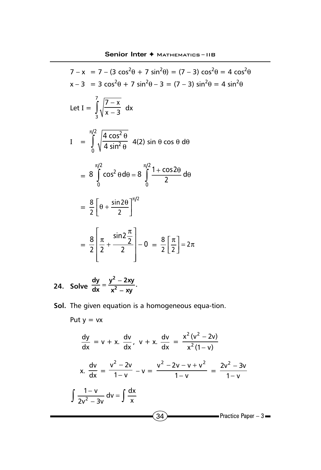$$
7 - x = 7 - (3 \cos^{2}\theta + 7 \sin^{2}\theta) = (7 - 3) \cos^{2}\theta = 4 \cos^{2}\theta
$$
  
\n
$$
x - 3 = 3 \cos^{2}\theta + 7 \sin^{2}\theta - 3 = (7 - 3) \sin^{2}\theta = 4 \sin^{2}\theta
$$
  
\nLet  $I = \int_{3}^{7} \sqrt{\frac{7 - x}{x - 3}} dx$   
\n
$$
I = \int_{0}^{\pi/2} \sqrt{\frac{4 \cos^{2}\theta}{4 \sin^{2}\theta}} 4(2) \sin \theta \cos \theta d\theta
$$
  
\n
$$
= 8 \int_{0}^{\pi/2} \cos^{2}\theta d\theta = 8 \int_{0}^{\pi/2} \frac{1 + \cos 2\theta}{2} d\theta
$$
  
\n
$$
= \frac{8}{2} \left[ \theta + \frac{\sin 2\theta}{2} \right]_{0}^{\pi/2}
$$
  
\n
$$
= \frac{8}{2} \left[ \frac{\pi}{2} + \frac{\sin 2\frac{\pi}{2}}{2} \right] - 0 = \frac{8}{2} \left[ \frac{\pi}{2} \right] = 2\pi
$$

- **24. Solve 2**  $\frac{dy}{dx} = \frac{y^2 - 2xy}{x^2 - xy}$ .
- **Sol.** The given equation is a homogeneous equa-tion.

Put y = vx  
\n
$$
\frac{dy}{dx} = v + x. \frac{dv}{dx}, v + x. \frac{dv}{dx} = \frac{x^2(v^2 - 2v)}{x^2(1 - v)}
$$
\nx. 
$$
\frac{dv}{dx} = \frac{v^2 - 2v}{1 - v} - v = \frac{v^2 - 2v - v + v^2}{1 - v} = \frac{2v^2 - 3v}{1 - v}
$$
\n
$$
\int \frac{1 - v}{2v^2 - 3v} dv = \int \frac{dx}{x}
$$
\n(34) -  
\nPractice Paper - 3